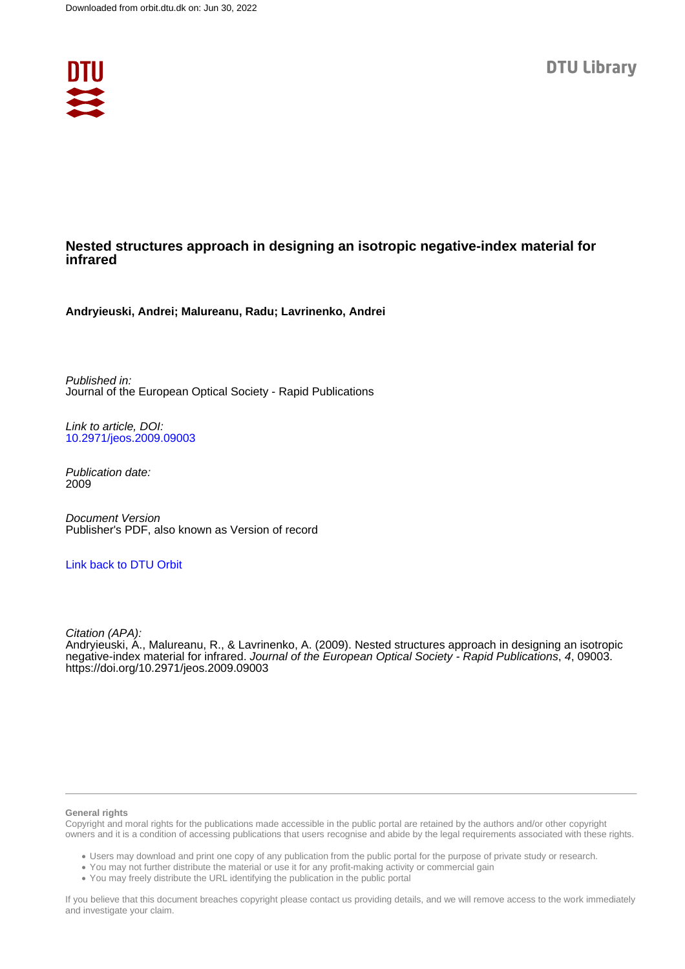

### **Nested structures approach in designing an isotropic negative-index material for infrared**

**Andryieuski, Andrei; Malureanu, Radu; Lavrinenko, Andrei**

Published in: Journal of the European Optical Society - Rapid Publications

Link to article, DOI: [10.2971/jeos.2009.09003](https://doi.org/10.2971/jeos.2009.09003)

Publication date: 2009

Document Version Publisher's PDF, also known as Version of record

#### [Link back to DTU Orbit](https://orbit.dtu.dk/en/publications/84930f30-e171-4f6d-ac8f-3a0abed80ad6)

Citation (APA): Andryieuski, A., Malureanu, R., & Lavrinenko, A. (2009). Nested structures approach in designing an isotropic negative-index material for infrared. Journal of the European Optical Society - Rapid Publications, 4, 09003. <https://doi.org/10.2971/jeos.2009.09003>

#### **General rights**

Copyright and moral rights for the publications made accessible in the public portal are retained by the authors and/or other copyright owners and it is a condition of accessing publications that users recognise and abide by the legal requirements associated with these rights.

Users may download and print one copy of any publication from the public portal for the purpose of private study or research.

- You may not further distribute the material or use it for any profit-making activity or commercial gain
- You may freely distribute the URL identifying the publication in the public portal

If you believe that this document breaches copyright please contact us providing details, and we will remove access to the work immediately and investigate your claim.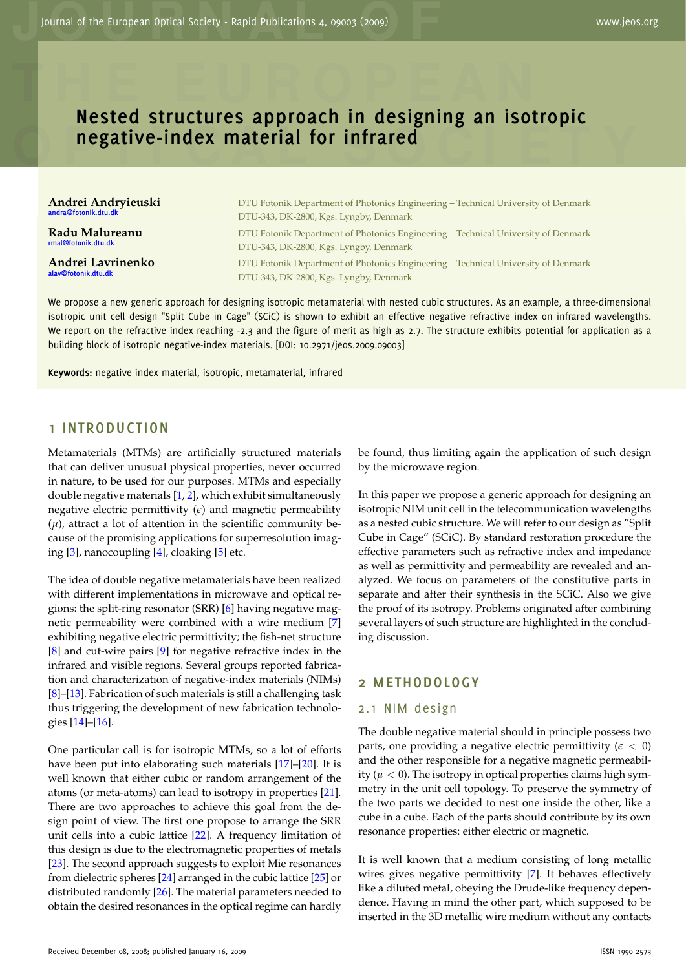# **Rested structures approach in designing an isotropic<br>negative-index material for infrared Nested structures approach in designing an isotropic negative-index material for infrared**

**Andrei Andryieuski andra@fotonik.dtu.dk**

**Radu Malureanu rmal@fotonik.dtu.dk**

**T**

**O**

**Andrei Lavrinenko alav@fotonik.dtu.dk**

Andrei Andryieuski<br>
DTU Fotonik Department of Photonics Engineering – Technical University of Denmark<br>
DTU-343, DK-2800, Kgs. Lyngby, Denmark DTU Fotonik Department of Photonics Engineering – Technical University of Denmark DTU-343, DK-2800, Kgs. Lyngby, Denmark

> DTU Fotonik Department of Photonics Engineering – Technical University of Denmark DTU-343, DK-2800, Kgs. Lyngby, Denmark

> DTU Fotonik Department of Photonics Engineering – Technical University of Denmark DTU-343, DK-2800, Kgs. Lyngby, Denmark

We propose a new generic approach for designing isotropic metamaterial with nested cubic structures. As an example, a three-dimensional isotropic unit cell design "Split Cube in Cage" (SCiC) is shown to exhibit an effective negative refractive index on infrared wavelengths. We report on the refractive index reaching -2.3 and the figure of merit as high as 2.7. The structure exhibits potential for application as a building block of isotropic negative-index materials. [DOI: 10.2971/jeos.2009.09003]

**Keywords:** negative index material, isotropic, metamaterial, infrared

#### **1 INTRODUCTION**

Metamaterials (MTMs) are artificially structured materials that can deliver unusual physical properties, never occurred in nature, to be used for our purposes. MTMs and especially double negative materials [\[1,](#page-6-0) [2\]](#page-6-1), which exhibit simultaneously negative electric permittivity  $(\epsilon)$  and magnetic permeability  $(\mu)$ , attract a lot of attention in the scientific community because of the promising applications for superresolution imaging [\[3\]](#page-6-2), nanocoupling [\[4\]](#page-6-3), cloaking [\[5\]](#page-6-4) etc.

The idea of double negative metamaterials have been realized with different implementations in microwave and optical regions: the split-ring resonator (SRR) [\[6\]](#page-6-5) having negative magnetic permeability were combined with a wire medium [\[7\]](#page-6-6) exhibiting negative electric permittivity; the fish-net structure [\[8\]](#page-6-7) and cut-wire pairs [\[9\]](#page-6-8) for negative refractive index in the infrared and visible regions. Several groups reported fabrication and characterization of negative-index materials (NIMs) [\[8\]](#page-6-7)–[\[13\]](#page-6-9). Fabrication of such materials is still a challenging task thus triggering the development of new fabrication technologies [\[14\]](#page-6-10)–[\[16\]](#page-6-11).

One particular call is for isotropic MTMs, so a lot of efforts have been put into elaborating such materials [\[17\]](#page-6-12)–[\[20\]](#page-6-13). It is well known that either cubic or random arrangement of the atoms (or meta-atoms) can lead to isotropy in properties [\[21\]](#page-6-14). There are two approaches to achieve this goal from the design point of view. The first one propose to arrange the SRR unit cells into a cubic lattice [\[22\]](#page-6-15). A frequency limitation of this design is due to the electromagnetic properties of metals [\[23\]](#page-6-16). The second approach suggests to exploit Mie resonances from dielectric spheres [\[24\]](#page-6-17) arranged in the cubic lattice [\[25\]](#page-6-18) or distributed randomly [\[26\]](#page-7-0). The material parameters needed to obtain the desired resonances in the optical regime can hardly

be found, thus limiting again the application of such design by the microwave region.

In this paper we propose a generic approach for designing an isotropic NIM unit cell in the telecommunication wavelengths as a nested cubic structure. We will refer to our design as "Split Cube in Cage" (SCiC). By standard restoration procedure the effective parameters such as refractive index and impedance as well as permittivity and permeability are revealed and analyzed. We focus on parameters of the constitutive parts in separate and after their synthesis in the SCiC. Also we give the proof of its isotropy. Problems originated after combining several layers of such structure are highlighted in the concluding discussion.

#### **2 METHODOLOGY**

#### 2.1 NIM design

The double negative material should in principle possess two parts, one providing a negative electric permittivity ( $\epsilon$  < 0) and the other responsible for a negative magnetic permeability ( $\mu$  < 0). The isotropy in optical properties claims high symmetry in the unit cell topology. To preserve the symmetry of the two parts we decided to nest one inside the other, like a cube in a cube. Each of the parts should contribute by its own resonance properties: either electric or magnetic.

It is well known that a medium consisting of long metallic wires gives negative permittivity [\[7\]](#page-6-6). It behaves effectively like a diluted metal, obeying the Drude-like frequency dependence. Having in mind the other part, which supposed to be inserted in the 3D metallic wire medium without any contacts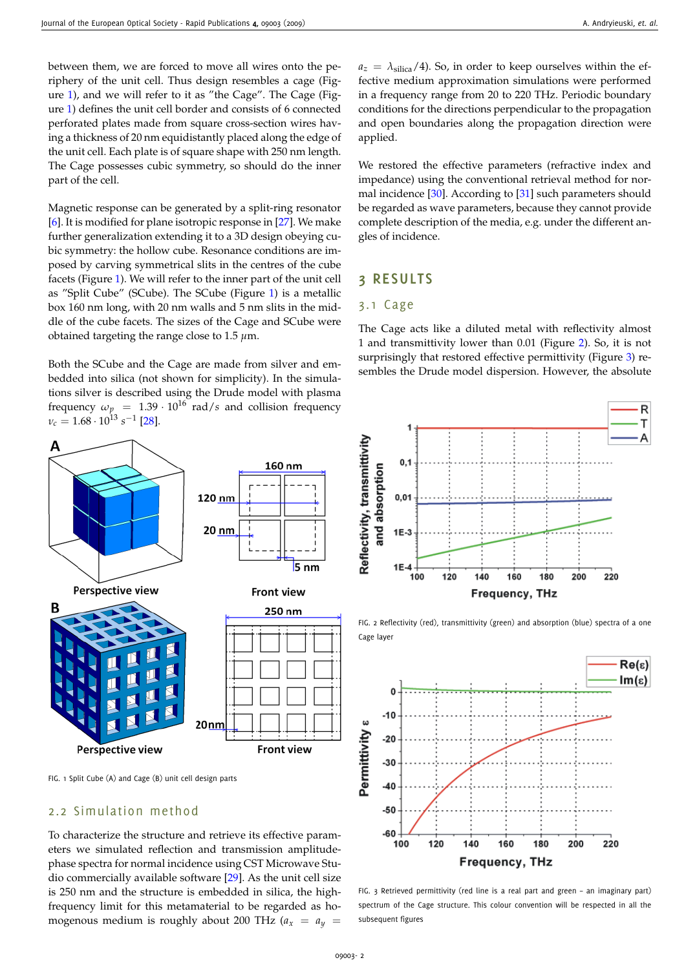between them, we are forced to move all wires onto the periphery of the unit cell. Thus design resembles a cage (Figure [1\)](#page-2-0), and we will refer to it as "the Cage". The Cage (Figure [1\)](#page-2-0) defines the unit cell border and consists of 6 connected perforated plates made from square cross-section wires having a thickness of 20 nm equidistantly placed along the edge of the unit cell. Each plate is of square shape with 250 nm length. The Cage possesses cubic symmetry, so should do the inner part of the cell.

Magnetic response can be generated by a split-ring resonator [\[6\]](#page-6-5). It is modified for plane isotropic response in [\[27\]](#page-7-1). We make further generalization extending it to a 3D design obeying cubic symmetry: the hollow cube. Resonance conditions are imposed by carving symmetrical slits in the centres of the cube facets (Figure [1\)](#page-2-0). We will refer to the inner part of the unit cell as "Split Cube" (SCube). The SCube (Figure [1\)](#page-2-0) is a metallic box 160 nm long, with 20 nm walls and 5 nm slits in the middle of the cube facets. The sizes of the Cage and SCube were obtained targeting the range close to 1.5 *µ*m.

Both the SCube and the Cage are made from silver and embedded into silica (not shown for simplicity). In the simulations silver is described using the Drude model with plasma frequency  $\omega_p = 1.39 \cdot 10^{16}$  rad/*s* and collision frequency *v*<sub>*c*</sub> = 1.68⋅10<sup>13</sup> *s*<sup>-1</sup> [\[28\]](#page-7-2).



 $a_z = \lambda_{\text{silica}}/4$ ). So, in order to keep ourselves within the effective medium approximation simulations were performed in a frequency range from 20 to 220 THz. Periodic boundary conditions for the directions perpendicular to the propagation and open boundaries along the propagation direction were applied.

We restored the effective parameters (refractive index and impedance) using the conventional retrieval method for normal incidence [\[30\]](#page-7-4). According to [\[31\]](#page-7-5) such parameters should be regarded as wave parameters, because they cannot provide complete description of the media, e.g. under the different angles of incidence.

#### **3 RESULTS**

#### 3.1 Cage

The Cage acts like a diluted metal with reflectivity almost 1 and transmittivity lower than 0.01 (Figure [2\)](#page-2-1). So, it is not surprisingly that restored effective permittivity (Figure [3\)](#page-2-2) resembles the Drude model dispersion. However, the absolute





<span id="page-2-0"></span>FIG. 1 Split Cube (A) and Cage (B) unit cell design parts

### 2.2 Simulation method

A

To characterize the structure and retrieve its effective parameters we simulated reflection and transmission amplitudephase spectra for normal incidence using CST Microwave Studio commercially available software [\[29\]](#page-7-3). As the unit cell size is 250 nm and the structure is embedded in silica, the highfrequency limit for this metamaterial to be regarded as homogenous medium is roughly about 200 THz  $(a_x = a_y$ 

<span id="page-2-1"></span>FIG. 2 Reflectivity (red), transmittivity (green) and absorption (blue) spectra of a one Cage layer



<span id="page-2-2"></span>FIG. 3 Retrieved permittivity (red line is a real part and green – an imaginary part) spectrum of the Cage structure. This colour convention will be respected in all the subsequent figures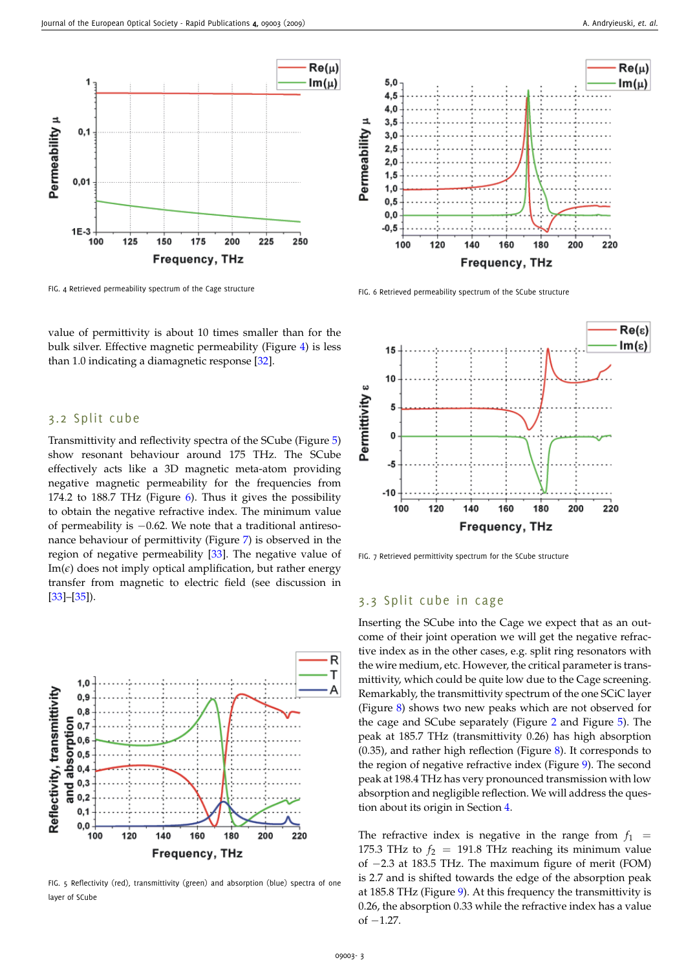

<span id="page-3-0"></span>FIG. 4 Retrieved permeability spectrum of the Cage structure

value of permittivity is about 10 times smaller than for the bulk silver. Effective magnetic permeability (Figure [4\)](#page-3-0) is less than 1.0 indicating a diamagnetic response [\[32\]](#page-7-6).

#### 3.2 Split cube

Transmittivity and reflectivity spectra of the SCube (Figure [5\)](#page-3-1) show resonant behaviour around 175 THz. The SCube effectively acts like a 3D magnetic meta-atom providing negative magnetic permeability for the frequencies from 174.2 to 188.7 THz (Figure [6\)](#page-3-2). Thus it gives the possibility to obtain the negative refractive index. The minimum value of permeability is −0.62. We note that a traditional antiresonance behaviour of permittivity (Figure [7\)](#page-3-3) is observed in the region of negative permeability [\[33\]](#page-7-7). The negative value of  $Im(\epsilon)$  does not imply optical amplification, but rather energy transfer from magnetic to electric field (see discussion in [\[33\]](#page-7-7)–[\[35\]](#page-7-8)).



<span id="page-3-1"></span>FIG. 5 Reflectivity (red), transmittivity (green) and absorption (blue) spectra of one layer of SCube



<span id="page-3-2"></span>FIG. 6 Retrieved permeability spectrum of the SCube structure



<span id="page-3-3"></span>FIG. 7 Retrieved permittivity spectrum for the SCube structure

#### 3.3 Split cube in cage

Inserting the SCube into the Cage we expect that as an outcome of their joint operation we will get the negative refractive index as in the other cases, e.g. split ring resonators with the wire medium, etc. However, the critical parameter is transmittivity, which could be quite low due to the Cage screening. Remarkably, the transmittivity spectrum of the one SCiC layer (Figure [8\)](#page-4-0) shows two new peaks which are not observed for the cage and SCube separately (Figure [2](#page-2-1) and Figure [5\)](#page-3-1). The peak at 185.7 THz (transmittivity 0.26) has high absorption (0.35), and rather high reflection (Figure [8\)](#page-4-0). It corresponds to the region of negative refractive index (Figure [9\)](#page-4-1). The second peak at 198.4 THz has very pronounced transmission with low absorption and negligible reflection. We will address the question about its origin in Section [4.](#page-5-0)

The refractive index is negative in the range from  $f_1$  = 175.3 THz to  $f_2 = 191.8$  THz reaching its minimum value of −2.3 at 183.5 THz. The maximum figure of merit (FOM) is 2.7 and is shifted towards the edge of the absorption peak at 185.8 THz (Figure [9\)](#page-4-1). At this frequency the transmittivity is 0.26, the absorption 0.33 while the refractive index has a value of  $-1.27$ .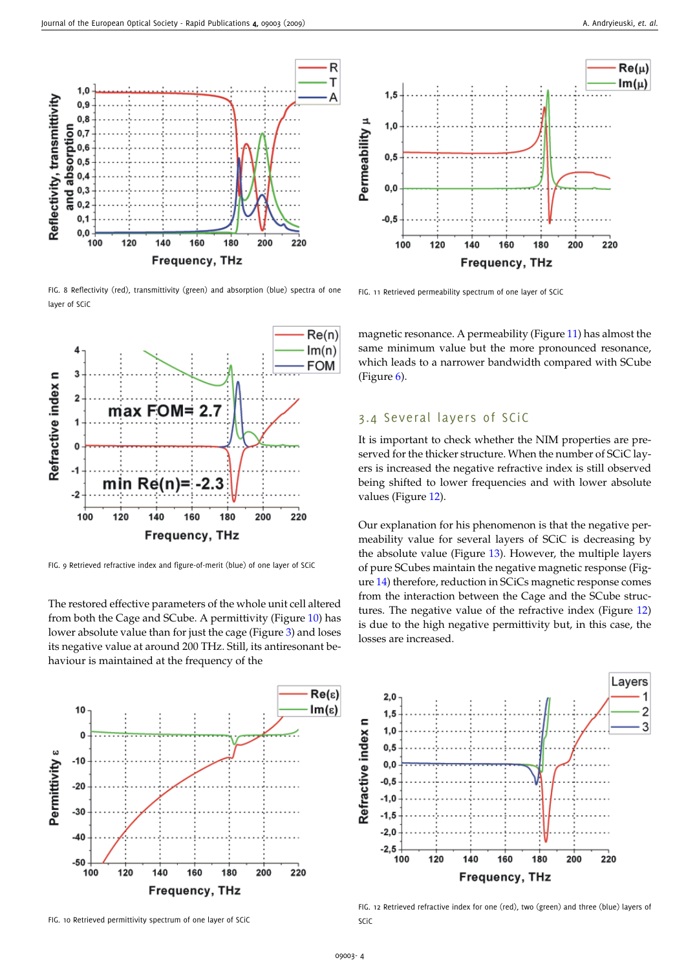

<span id="page-4-0"></span>FIG. 8 Reflectivity (red), transmittivity (green) and absorption (blue) spectra of one layer of SCiC



<span id="page-4-1"></span>FIG. 9 Retrieved refractive index and figure-of-merit (blue) of one layer of SCiC

The restored effective parameters of the whole unit cell altered from both the Cage and SCube. A permittivity (Figure [10\)](#page-4-2) has lower absolute value than for just the cage (Figure [3\)](#page-2-2) and loses its negative value at around 200 THz. Still, its antiresonant behaviour is maintained at the frequency of the



<span id="page-4-2"></span>FIG. 10 Retrieved permittivity spectrum of one layer of SCiC



<span id="page-4-3"></span>FIG. 11 Retrieved permeability spectrum of one layer of SCiC

magnetic resonance. A permeability (Figure [11\)](#page-4-3) has almost the same minimum value but the more pronounced resonance, which leads to a narrower bandwidth compared with SCube (Figure [6\)](#page-3-2).

#### 3.4 Several layers of SCIC

It is important to check whether the NIM properties are preserved for the thicker structure. When the number of SCiC layers is increased the negative refractive index is still observed being shifted to lower frequencies and with lower absolute values (Figure [12\)](#page-4-4).

Our explanation for his phenomenon is that the negative permeability value for several layers of SCiC is decreasing by the absolute value (Figure [13\)](#page-5-1). However, the multiple layers of pure SCubes maintain the negative magnetic response (Figure [14\)](#page-5-2) therefore, reduction in SCiCs magnetic response comes from the interaction between the Cage and the SCube structures. The negative value of the refractive index (Figure [12\)](#page-4-4) is due to the high negative permittivity but, in this case, the losses are increased.



<span id="page-4-4"></span>FIG. 12 Retrieved refractive index for one (red), two (green) and three (blue) layers of SCiC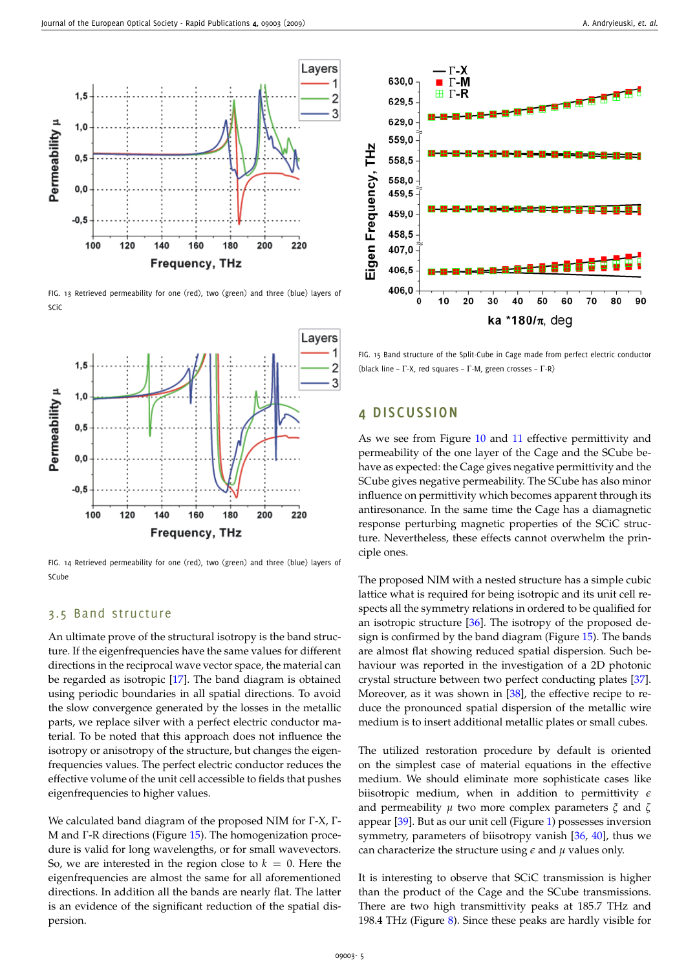

<span id="page-5-1"></span>FIG. 13 Retrieved permeability for one (red), two (green) and three (blue) layers of SCiC



<span id="page-5-2"></span>FIG. 14 Retrieved permeability for one (red), two (green) and three (blue) layers of SCube

### 3.5 Band structure

An ultimate prove of the structural isotropy is the band structure. If the eigenfrequencies have the same values for different directions in the reciprocal wave vector space, the material can be regarded as isotropic [\[17\]](#page-6-12). The band diagram is obtained using periodic boundaries in all spatial directions. To avoid the slow convergence generated by the losses in the metallic parts, we replace silver with a perfect electric conductor material. To be noted that this approach does not influence the isotropy or anisotropy of the structure, but changes the eigenfrequencies values. The perfect electric conductor reduces the effective volume of the unit cell accessible to fields that pushes eigenfrequencies to higher values.

We calculated band diagram of the proposed NIM for Γ-X, Γ-M and Γ-R directions (Figure [15\)](#page-5-3). The homogenization procedure is valid for long wavelengths, or for small wavevectors. So, we are interested in the region close to  $k = 0$ . Here the eigenfrequencies are almost the same for all aforementioned directions. In addition all the bands are nearly flat. The latter is an evidence of the significant reduction of the spatial dispersion.



<span id="page-5-3"></span>FIG. 15 Band structure of the Split-Cube in Cage made from perfect electric conductor (black line – Γ-X, red squares – Γ-M, green crosses – Γ-R)

#### <span id="page-5-0"></span>**4 DISCUSSION**

As we see from Figure [10](#page-4-2) and [11](#page-4-3) effective permittivity and permeability of the one layer of the Cage and the SCube behave as expected: the Cage gives negative permittivity and the SCube gives negative permeability. The SCube has also minor influence on permittivity which becomes apparent through its antiresonance. In the same time the Cage has a diamagnetic response perturbing magnetic properties of the SCiC structure. Nevertheless, these effects cannot overwhelm the principle ones.

The proposed NIM with a nested structure has a simple cubic lattice what is required for being isotropic and its unit cell respects all the symmetry relations in ordered to be qualified for an isotropic structure [\[36\]](#page-7-9). The isotropy of the proposed design is confirmed by the band diagram (Figure [15\)](#page-5-3). The bands are almost flat showing reduced spatial dispersion. Such behaviour was reported in the investigation of a 2D photonic crystal structure between two perfect conducting plates [\[37\]](#page-7-10). Moreover, as it was shown in [\[38\]](#page-7-11), the effective recipe to reduce the pronounced spatial dispersion of the metallic wire medium is to insert additional metallic plates or small cubes.

The utilized restoration procedure by default is oriented on the simplest case of material equations in the effective medium. We should eliminate more sophisticate cases like biisotropic medium, when in addition to permittivity *e* and permeability *µ* two more complex parameters *ξ* and *ζ* appear [\[39\]](#page-7-12). But as our unit cell (Figure [1\)](#page-2-0) possesses inversion symmetry, parameters of biisotropy vanish [\[36,](#page-7-9) [40\]](#page-7-13), thus we can characterize the structure using  $\epsilon$  and  $\mu$  values only.

It is interesting to observe that SCiC transmission is higher than the product of the Cage and the SCube transmissions. There are two high transmittivity peaks at 185.7 THz and 198.4 THz (Figure [8\)](#page-4-0). Since these peaks are hardly visible for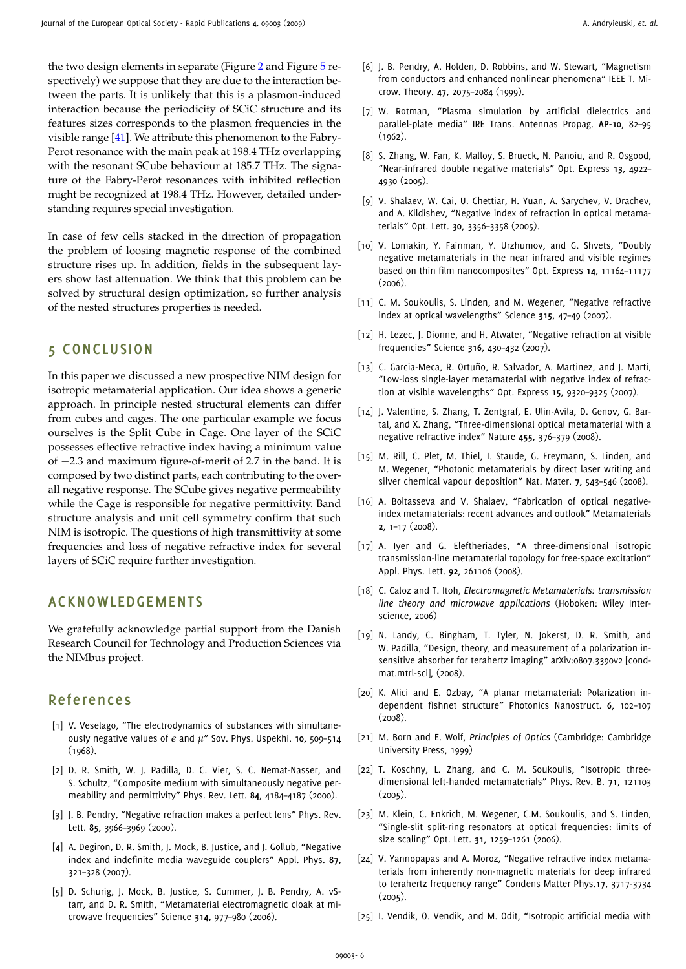the two design elements in separate (Figure [2](#page-2-1) and Figure [5](#page-3-1) respectively) we suppose that they are due to the interaction between the parts. It is unlikely that this is a plasmon-induced interaction because the periodicity of SCiC structure and its features sizes corresponds to the plasmon frequencies in the visible range [\[41\]](#page-7-14). We attribute this phenomenon to the Fabry-Perot resonance with the main peak at 198.4 THz overlapping with the resonant SCube behaviour at 185.7 THz. The signature of the Fabry-Perot resonances with inhibited reflection might be recognized at 198.4 THz. However, detailed understanding requires special investigation.

In case of few cells stacked in the direction of propagation the problem of loosing magnetic response of the combined structure rises up. In addition, fields in the subsequent layers show fast attenuation. We think that this problem can be solved by structural design optimization, so further analysis of the nested structures properties is needed.

### **5 CONCLUSION**

In this paper we discussed a new prospective NIM design for isotropic metamaterial application. Our idea shows a generic approach. In principle nested structural elements can differ from cubes and cages. The one particular example we focus ourselves is the Split Cube in Cage. One layer of the SCiC possesses effective refractive index having a minimum value of −2.3 and maximum figure-of-merit of 2.7 in the band. It is composed by two distinct parts, each contributing to the overall negative response. The SCube gives negative permeability while the Cage is responsible for negative permittivity. Band structure analysis and unit cell symmetry confirm that such NIM is isotropic. The questions of high transmittivity at some frequencies and loss of negative refractive index for several layers of SCiC require further investigation.

## **ACKNOWLEDGEMENTS**

We gratefully acknowledge partial support from the Danish Research Council for Technology and Production Sciences via the NIMbus project.

### **Refe rences**

- <span id="page-6-0"></span>[1] V. Veselago, "The electrodynamics of substances with simultaneously negative values of *e* and *µ*" Sov. Phys. Uspekhi. **10**, 509–514 (1968).
- <span id="page-6-1"></span>[2] D. R. Smith, W. J. Padilla, D. C. Vier, S. C. Nemat-Nasser, and S. Schultz, "Composite medium with simultaneously negative permeability and permittivity" Phys. Rev. Lett. **84**, 4184–4187 (2000).
- <span id="page-6-2"></span>[3] J. B. Pendry, "Negative refraction makes a perfect lens" Phys. Rev. Lett. **85**, 3966–3969 (2000).
- <span id="page-6-3"></span>[4] A. Degiron, D. R. Smith, J. Mock, B. Justice, and J. Gollub, "Negative index and indefinite media waveguide couplers" Appl. Phys. **87**, 321–328 (2007).
- <span id="page-6-4"></span>[5] D. Schurig, J. Mock, B. Justice, S. Cummer, J. B. Pendry, A. vStarr, and D. R. Smith, "Metamaterial electromagnetic cloak at microwave frequencies" Science **314**, 977–980 (2006).
- <span id="page-6-5"></span>[6] J. B. Pendry, A. Holden, D. Robbins, and W. Stewart, "Magnetism from conductors and enhanced nonlinear phenomena" IEEE T. Microw. Theory. **47**, 2075–2084 (1999).
- <span id="page-6-6"></span>[7] W. Rotman, "Plasma simulation by artificial dielectrics and parallel-plate media" IRE Trans. Antennas Propag. **AP-10**, 82–95 (1962).
- <span id="page-6-7"></span>[8] S. Zhang, W. Fan, K. Malloy, S. Brueck, N. Panoiu, and R. Osgood, "Near-infrared double negative materials" Opt. Express **13**, 4922– 4930 (2005).
- <span id="page-6-8"></span>[9] V. Shalaev, W. Cai, U. Chettiar, H. Yuan, A. Sarychev, V. Drachev, and A. Kildishev, "Negative index of refraction in optical metamaterials" Opt. Lett. **30**, 3356–3358 (2005).
- [10] V. Lomakin, Y. Fainman, Y. Urzhumov, and G. Shvets, "Doubly negative metamaterials in the near infrared and visible regimes based on thin film nanocomposites" Opt. Express **14**, 11164–11177 (2006).
- [11] C. M. Soukoulis, S. Linden, and M. Wegener, "Negative refractive index at optical wavelengths" Science **315**, 47–49 (2007).
- [12] H. Lezec, J. Dionne, and H. Atwater, "Negative refraction at visible frequencies" Science **316**, 430–432 (2007).
- <span id="page-6-9"></span>[13] C. Garcia-Meca, R. Ortuño, R. Salvador, A. Martinez, and J. Marti, "Low-loss single-layer metamaterial with negative index of refraction at visible wavelengths" Opt. Express **15**, 9320–9325 (2007).
- <span id="page-6-10"></span>[14] J. Valentine, S. Zhang, T. Zentgraf, E. Ulin-Avila, D. Genov, G. Bartal, and X. Zhang, "Three-dimensional optical metamaterial with a negative refractive index" Nature **455**, 376–379 (2008).
- [15] M. Rill, C. Plet, M. Thiel, I. Staude, G. Freymann, S. Linden, and M. Wegener, "Photonic metamaterials by direct laser writing and silver chemical vapour deposition" Nat. Mater. **7**, 543–546 (2008).
- <span id="page-6-11"></span>[16] A. Boltasseva and V. Shalaev, "Fabrication of optical negativeindex metamaterials: recent advances and outlook" Metamaterials **2**, 1–17 (2008).
- <span id="page-6-12"></span>[17] A. Iyer and G. Eleftheriades, "A three-dimensional isotropic transmission-line metamaterial topology for free-space excitation" Appl. Phys. Lett. **92**, 261106 (2008).
- [18] C. Caloz and T. Itoh, *Electromagnetic Metamaterials: transmission line theory and microwave applications* (Hoboken: Wiley Interscience, 2006)
- [19] N. Landy, C. Bingham, T. Tyler, N. Jokerst, D. R. Smith, and W. Padilla, "Design, theory, and measurement of a polarization insensitive absorber for terahertz imaging" arXiv:0807.3390v2 [condmat.mtrl-sci], (2008).
- <span id="page-6-13"></span>[20] K. Alici and E. Ozbay, "A planar metamaterial: Polarization independent fishnet structure" Photonics Nanostruct. **6**, 102–107  $(2008)$ .
- <span id="page-6-14"></span>[21] M. Born and E. Wolf, *Principles of Optics* (Cambridge: Cambridge University Press, 1999)
- <span id="page-6-15"></span>[22] T. Koschny, L. Zhang, and C. M. Soukoulis, "Isotropic threedimensional left-handed metamaterials" Phys. Rev. B. **71**, 121103  $(2005)$ .
- <span id="page-6-16"></span>[23] M. Klein, C. Enkrich, M. Wegener, C.M. Soukoulis, and S. Linden, "Single-slit split-ring resonators at optical frequencies: limits of size scaling" Opt. Lett. **31**, 1259–1261 (2006).
- <span id="page-6-17"></span>[24] V. Yannopapas and A. Moroz, "Negative refractive index metamaterials from inherently non-magnetic materials for deep infrared to terahertz frequency range" Condens Matter Phys.**17**, 3717-3734  $(2005)$ .
- <span id="page-6-18"></span>[25] I. Vendik, O. Vendik, and M. Odit, "Isotropic artificial media with